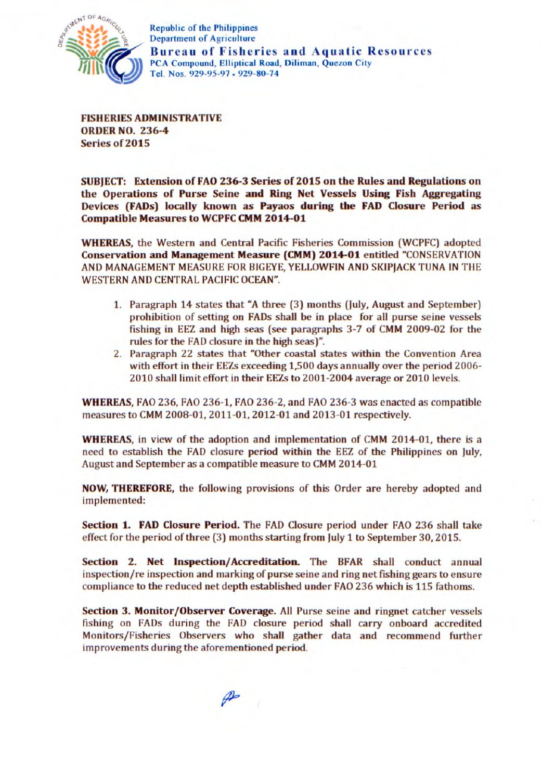

Department of Agriculture **Bureau** of Fisheries **and** Aquatic Resources PCA Compound, **Elliptical Road, Diliman, Quezon** City Tel. Nos. *929-95-97* • 929-80-74

**FISHERIES ADMINISTRATIVE ORDER NO. 236-4 Series of 2015** 

**SUBJECT: Extension of FAO 236-3 Series of 2015 on the Rules and Regulations on the Operations of Purse Seine and Ring Net Vessels Using Fish Aggregating Devices (FADs) locally known as Payaos during the FAD Closure Period as Compatible Measures to WCPFC CMM 2014-01** 

**WHEREAS,** the Western and Central Pacific Fisheries Commission (WCPFC) adopted **Conservation and Management Measure (CMM) 2014-01** entitled "CONSERVATION AND MANAGEMENT MEASURE FOR BIGEYE, YELLOWFIN AND SKIPJACK TUNA IN THE WESTERN AND CENTRAL PACIFIC OCEAN".

- 1. Paragraph 14 states that "A three (3) months (July, August and September) prohibition of setting on FADs shall be in place for all purse seine vessels fishing in EEZ and high seas (see paragraphs 3-7 of CMM 2009-02 for the rules for the FAD closure in the high seas)".
- 2. Paragraph 22 states that "Other coastal states within the Convention Area with effort in their EEZs exceeding 1,500 days annually over the period 2006- 2010 shall limit effort in their EEZs to 2001-2004 average or 2010 levels.

**WHEREAS,** FAO 236, FAO 236-1, FAO 236-2, and FAO 236-3 was enacted as compatible measures to CMM 2008-01, 2011-01,2012-01 and 2013-01 respectively.

**WHEREAS,** in view of the adoption and implementation of CMM 2014-01, there is a need to establish the FAD closure period within the EEZ of the Philippines on July, August and September as a compatible measure to CMM 2014-01

**NOW, THEREFORE,** the following provisions of this Order are hereby adopted and implemented:

**Section 1. FAD Closure Period.** The FAD Closure period under FAO 236 shall take effect for the period of three (3) months starting from July 1 to September 30, 2015.

**Section 2. Net Inspection/Accreditation.** The BFAR shall conduct annual inspection/re inspection and marking of purse seine and ring net fishing gears to ensure compliance to the reduced net depth established under FAO 236 which is 115 fathoms.

**Section 3. Monitor/Observer Coverage.** All Purse seine and ringnet catcher vessels fishing on FADs during the FAD closure period shall carry onboard accredited Monitors/Fisheries Observers who shall gather data and recommend further improvements during the aforementioned period.